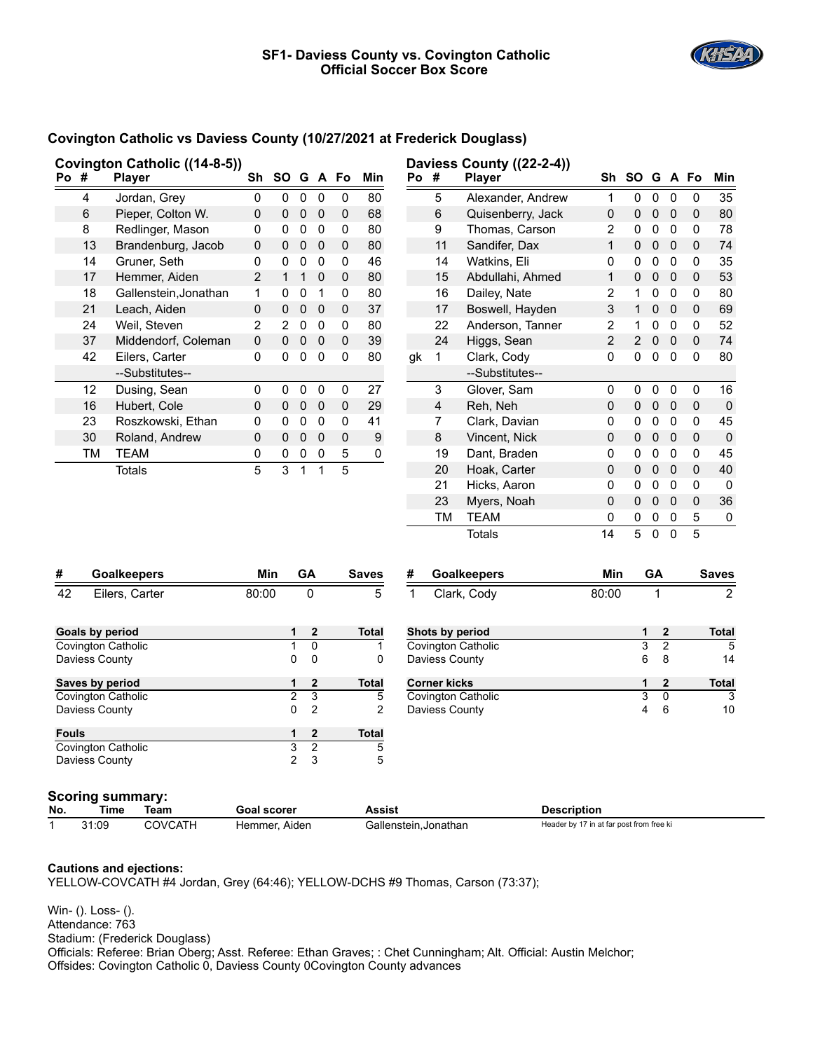

## **Covington Catholic vs Daviess County (10/27/2021 at Frederick Douglass)**

|                           |                                    | Covington Catholic ((14-8-5)) |                |                |                |                |           |                    |                       |                         | Daviess County ((22-2-4)) |                                          |                |                |                         |             |                |
|---------------------------|------------------------------------|-------------------------------|----------------|----------------|----------------|----------------|-----------|--------------------|-----------------------|-------------------------|---------------------------|------------------------------------------|----------------|----------------|-------------------------|-------------|----------------|
|                           | Po #                               | <b>Player</b>                 |                | Sh SO G A Fo   |                |                |           | Min                | Po #                  |                         | <b>Player</b>             |                                          | Sh SO G A Fo   |                |                         |             | Min            |
|                           | 4                                  | Jordan, Grey                  | 0              | 0              | $\pmb{0}$      | 0              | 0         | 80                 |                       | 5                       | Alexander, Andrew         | $\mathbf{1}$                             | $\mathsf 0$    | $\mathbf 0$    | $\mathbf 0$             | 0           | 35             |
|                           | 6                                  | Pieper, Colton W.             | 0              | 0              | $\pmb{0}$      | 0              | 0         | 68                 |                       | 6                       | Quisenberry, Jack         | 0                                        | 0              | 0              | $\mathbf 0$             | 0           | 80             |
|                           | 8                                  | Redlinger, Mason              | 0              | 0              | $\pmb{0}$      | 0              | 0         | 80                 |                       | 9                       | Thomas, Carson            | 2                                        | $\mathbf 0$    | $\mathbf 0$    | $\overline{\mathbf{0}}$ | 0           | 78             |
|                           | 13                                 | Brandenburg, Jacob            | $\mathsf 0$    | 0              | $\pmb{0}$      | 0              | 0         | 80                 |                       | 11                      | Sandifer, Dax             | $\mathbf{1}$                             | 0              | $\pmb{0}$      | $\mathbf 0$             | $\mathbf 0$ | 74             |
|                           | 14                                 | Gruner, Seth                  | 0              | 0              | $\pmb{0}$      | $\Omega$       | 0         | 46                 |                       | 14                      | Watkins, Eli              | $\Omega$                                 | 0              | $\pmb{0}$      | 0                       | $\Omega$    | 35             |
|                           | 17                                 | Hemmer, Aiden                 | $\overline{2}$ | $\mathbf{1}$   | $\mathbf{1}$   | $\mathbf 0$    | 0         | 80                 |                       | 15                      | Abdullahi, Ahmed          | 1                                        | 0              | 0              | $\mathbf{0}$            | $\mathbf 0$ | 53             |
|                           | 18                                 | Gallenstein, Jonathan         | 1              | 0              | 0              | $\mathbf{1}$   | 0         | 80                 |                       | 16                      | Dailey, Nate              | 2                                        | 1              | 0              | $\pmb{0}$               | 0           | 80             |
|                           | 21                                 | Leach, Aiden                  | $\pmb{0}$      | 0              | $\pmb{0}$      | $\mathbf 0$    | 0         | 37                 |                       | 17                      | Boswell, Hayden           | 3                                        | $\mathbf 1$    | $\pmb{0}$      | $\mathbf 0$             | $\mathbf 0$ | 69             |
|                           | 24                                 | Weil, Steven                  | $\overline{2}$ | $\overline{2}$ | $\pmb{0}$      | $\mathbf 0$    | 0         | 80                 |                       | 22                      | Anderson, Tanner          | $\overline{2}$                           | 1              | 0              | $\pmb{0}$               | 0           | 52             |
|                           | 37                                 | Middendorf, Coleman           | 0              | 0              | $\pmb{0}$      | $\mathbf 0$    | 0         | 39                 |                       | 24                      | Higgs, Sean               | $\overline{2}$                           | $\overline{2}$ | 0              | $\overline{0}$          | $\mathbf 0$ | 74             |
|                           | 42                                 | Eilers, Carter                | 0              | 0              | 0              | $\mathbf 0$    | 0         | 80                 | gk                    | 1                       | Clark, Cody               | 0                                        | 0              | $\pmb{0}$      | $\mathbf 0$             | $\mathbf 0$ | 80             |
|                           |                                    | --Substitutes--               |                |                |                |                |           |                    |                       |                         | --Substitutes--           |                                          |                |                |                         |             |                |
|                           | 12                                 | Dusing, Sean                  | 0              | 0              | 0              | 0              | 0         | 27                 |                       | 3                       | Glover, Sam               | 0                                        | 0              | 0              | 0                       | 0           | 16             |
|                           | 16                                 | Hubert, Cole                  | $\pmb{0}$      | 0              | $\mathbf 0$    | 0              | 0         | 29                 |                       | $\overline{\mathbf{4}}$ | Reh, Neh                  | 0                                        | 0              | $\pmb{0}$      | $\mathbf 0$             | $\pmb{0}$   | $\pmb{0}$      |
|                           | 23                                 | Roszkowski, Ethan             | 0              | 0              | $\mathbf 0$    | $\Omega$       | 0         | 41                 |                       | 7                       | Clark, Davian             | 0                                        | 0              | 0              | 0                       | 0           | 45             |
|                           | 30                                 | Roland, Andrew                | 0              | 0              | 0              | $\mathbf 0$    | $\pmb{0}$ | 9                  |                       | $\bf 8$                 | Vincent, Nick             | 0                                        | 0              | $\pmb{0}$      | $\mathbf 0$             | $\pmb{0}$   | $\pmb{0}$      |
|                           | ТM                                 | <b>TEAM</b>                   | 0              | 0              | 0              | 0              | 5         | 0                  |                       | 19                      | Dant, Braden              | 0                                        | 0              | 0              | 0                       | 0           | 45             |
|                           |                                    | <b>Totals</b>                 | 5              | 3              | $\mathbf{1}$   | $\mathbf{1}$   | 5         |                    |                       | 20                      | Hoak, Carter              | 0                                        | 0              | $\mathsf 0$    | $\mathbf 0$             | $\pmb{0}$   | 40             |
|                           |                                    |                               |                |                |                |                |           |                    |                       | 21                      | Hicks, Aaron              | 0                                        | 0              | 0              | $\mathbf 0$             | 0           | 0              |
|                           |                                    |                               |                |                |                |                |           |                    |                       | 23                      | Myers, Noah               | $\mathbf 0$                              | 0              | $\pmb{0}$      | $\overline{0}$          | $\pmb{0}$   | 36             |
|                           |                                    |                               |                |                |                |                |           |                    |                       | ТM                      | <b>TEAM</b>               | 0                                        | 0              | 0              | 0                       | 5           | 0              |
|                           |                                    |                               |                |                |                |                |           |                    |                       |                         | <b>Totals</b>             | 14                                       | 5              | $\mathbf 0$    | $\mathbf 0$             | 5           |                |
| #                         |                                    | <b>Goalkeepers</b>            |                | Min            | GA             |                |           | Saves              | #                     |                         | <b>Goalkeepers</b>        | Min                                      |                | GA             |                         |             | <b>Saves</b>   |
| 42                        |                                    | Eilers, Carter                | 80:00          |                | 0              |                |           | $\overline{5}$     | $\mathbf{1}$          |                         | Clark, Cody               | 80:00                                    |                | 1              |                         |             | $\overline{2}$ |
|                           |                                    |                               |                |                |                |                |           |                    |                       |                         |                           |                                          |                |                |                         |             |                |
|                           | <b>Goals by period</b>             |                               |                |                | 1              | $\mathbf{2}$   |           | Total              |                       | Shots by period         |                           |                                          |                | 1              | $\bf{2}$                |             | Total          |
| <b>Covington Catholic</b> |                                    |                               |                |                | 1              | $\mathbf 0$    |           | 1                  |                       |                         | <b>Covington Catholic</b> |                                          |                | 3              | $\overline{2}$          |             | 5              |
|                           | Daviess County                     |                               |                |                | 0              | $\Omega$       |           | $\mathbf 0$        |                       | Daviess County          |                           |                                          |                | 6              | 8                       |             | 14             |
| Saves by period           |                                    |                               |                |                | 1              | $\mathbf{2}$   |           | <b>Total</b>       |                       | <b>Corner kicks</b>     |                           |                                          |                | 1              | 2                       |             | <b>Total</b>   |
| Covington Catholic        |                                    |                               |                |                | $\overline{2}$ | 3              |           | 5                  |                       |                         | Covington Catholic        |                                          |                | 3              | $\mathbf 0$             |             | 3              |
|                           | Daviess County                     |                               |                |                | 0              | $\overline{2}$ |           | $\overline{2}$     |                       | Daviess County          |                           |                                          |                | $\overline{4}$ | 6                       |             | 10             |
| <b>Fouls</b>              |                                    |                               |                |                | 1              | $\mathbf{2}$   |           | Total              |                       |                         |                           |                                          |                |                |                         |             |                |
| <b>Covington Catholic</b> |                                    |                               |                |                | $\overline{3}$ | $\overline{2}$ |           | 5                  |                       |                         |                           |                                          |                |                |                         |             |                |
|                           | Daviess County                     |                               |                |                | $\overline{2}$ | 3              |           | 5                  |                       |                         |                           |                                          |                |                |                         |             |                |
|                           |                                    | <b>Scoring summary:</b>       |                |                |                |                |           |                    |                       |                         |                           |                                          |                |                |                         |             |                |
| No.                       | Time<br>Team<br><b>Goal scorer</b> |                               |                |                |                |                | Assist    | <b>Description</b> |                       |                         |                           |                                          |                |                |                         |             |                |
| $\mathbf{1}$              | 31:09                              | <b>COVCATH</b>                | Hemmer, Aiden  |                |                |                |           |                    | Gallenstein, Jonathan |                         |                           | Header by 17 in at far post from free ki |                |                |                         |             |                |

## **Cautions and ejections:**

YELLOW-COVCATH #4 Jordan, Grey (64:46); YELLOW-DCHS #9 Thomas, Carson (73:37);

Win- (). Loss- (). Attendance: 763 Stadium: (Frederick Douglass) Officials: Referee: Brian Oberg; Asst. Referee: Ethan Graves; : Chet Cunningham; Alt. Official: Austin Melchor; Offsides: Covington Catholic 0, Daviess County 0Covington County advances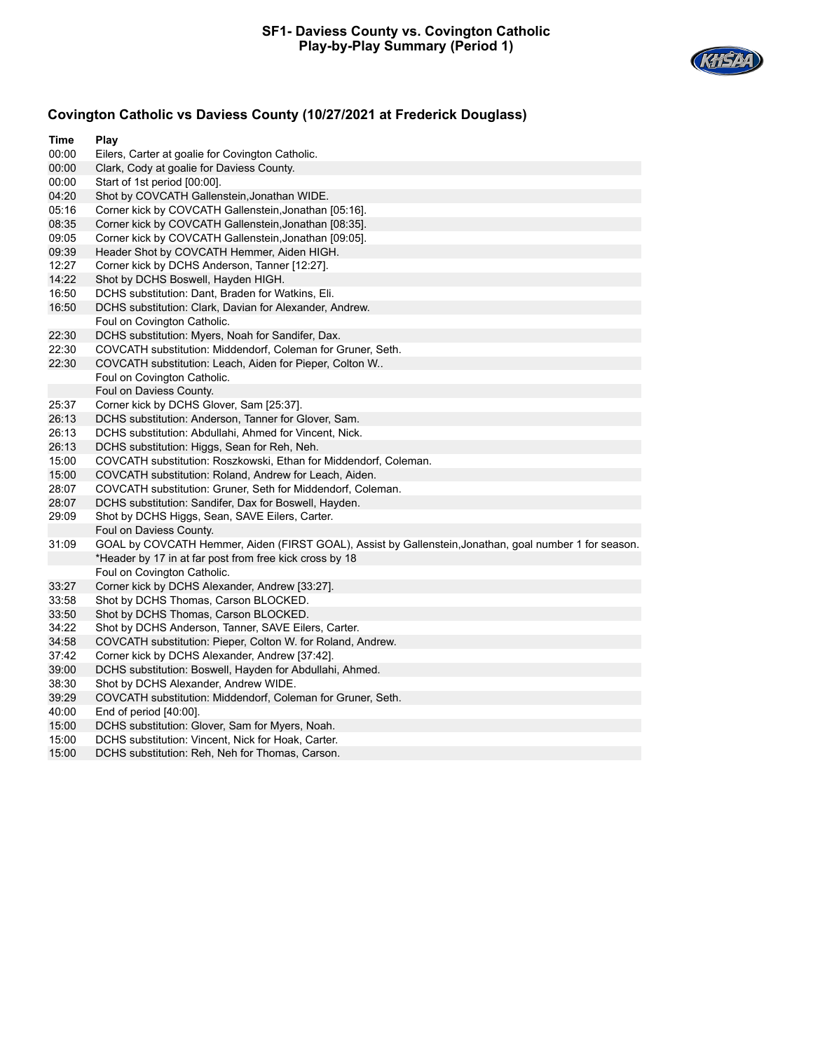

## **Covington Catholic vs Daviess County (10/27/2021 at Frederick Douglass)**

| Time                                                             | Play                                                                                                   |  |  |  |  |  |
|------------------------------------------------------------------|--------------------------------------------------------------------------------------------------------|--|--|--|--|--|
| 00:00                                                            | Eilers, Carter at goalie for Covington Catholic.                                                       |  |  |  |  |  |
| 00:00                                                            | Clark, Cody at goalie for Daviess County.                                                              |  |  |  |  |  |
| 00:00                                                            | Start of 1st period [00:00].                                                                           |  |  |  |  |  |
| 04:20                                                            | Shot by COVCATH Gallenstein, Jonathan WIDE.                                                            |  |  |  |  |  |
| 05:16                                                            | Corner kick by COVCATH Gallenstein, Jonathan [05:16].                                                  |  |  |  |  |  |
| 08:35                                                            | Corner kick by COVCATH Gallenstein, Jonathan [08:35].                                                  |  |  |  |  |  |
| 09:05                                                            | Corner kick by COVCATH Gallenstein, Jonathan [09:05].                                                  |  |  |  |  |  |
| 09:39                                                            | Header Shot by COVCATH Hemmer, Aiden HIGH.                                                             |  |  |  |  |  |
| 12:27                                                            | Corner kick by DCHS Anderson, Tanner [12:27].                                                          |  |  |  |  |  |
| 14:22                                                            | Shot by DCHS Boswell, Hayden HIGH.                                                                     |  |  |  |  |  |
| 16:50                                                            | DCHS substitution: Dant, Braden for Watkins, Eli.                                                      |  |  |  |  |  |
| 16:50<br>DCHS substitution: Clark, Davian for Alexander, Andrew. |                                                                                                        |  |  |  |  |  |
|                                                                  | Foul on Covington Catholic.                                                                            |  |  |  |  |  |
| 22:30                                                            | DCHS substitution: Myers, Noah for Sandifer, Dax.                                                      |  |  |  |  |  |
| 22:30                                                            | COVCATH substitution: Middendorf, Coleman for Gruner, Seth.                                            |  |  |  |  |  |
| 22:30                                                            | COVCATH substitution: Leach, Aiden for Pieper, Colton W                                                |  |  |  |  |  |
|                                                                  | Foul on Covington Catholic.                                                                            |  |  |  |  |  |
|                                                                  | Foul on Daviess County.                                                                                |  |  |  |  |  |
| 25:37                                                            | Corner kick by DCHS Glover, Sam [25:37].                                                               |  |  |  |  |  |
| 26:13                                                            | DCHS substitution: Anderson, Tanner for Glover, Sam.                                                   |  |  |  |  |  |
| 26:13                                                            | DCHS substitution: Abdullahi, Ahmed for Vincent, Nick.                                                 |  |  |  |  |  |
| 26:13                                                            | DCHS substitution: Higgs, Sean for Reh, Neh.                                                           |  |  |  |  |  |
| 15:00                                                            | COVCATH substitution: Roszkowski, Ethan for Middendorf, Coleman.                                       |  |  |  |  |  |
| 15:00                                                            | COVCATH substitution: Roland, Andrew for Leach, Aiden.                                                 |  |  |  |  |  |
| 28:07                                                            | COVCATH substitution: Gruner, Seth for Middendorf, Coleman.                                            |  |  |  |  |  |
| 28:07                                                            | DCHS substitution: Sandifer, Dax for Boswell, Hayden.                                                  |  |  |  |  |  |
| 29:09                                                            | Shot by DCHS Higgs, Sean, SAVE Eilers, Carter.                                                         |  |  |  |  |  |
|                                                                  | Foul on Daviess County.                                                                                |  |  |  |  |  |
| 31:09                                                            | GOAL by COVCATH Hemmer, Aiden (FIRST GOAL), Assist by Gallenstein, Jonathan, goal number 1 for season. |  |  |  |  |  |
|                                                                  | *Header by 17 in at far post from free kick cross by 18                                                |  |  |  |  |  |
|                                                                  | Foul on Covington Catholic.                                                                            |  |  |  |  |  |
| 33:27                                                            | Corner kick by DCHS Alexander, Andrew [33:27].                                                         |  |  |  |  |  |
| 33:58                                                            | Shot by DCHS Thomas, Carson BLOCKED.                                                                   |  |  |  |  |  |
| 33:50                                                            | Shot by DCHS Thomas, Carson BLOCKED.                                                                   |  |  |  |  |  |
| 34:22                                                            | Shot by DCHS Anderson, Tanner, SAVE Eilers, Carter.                                                    |  |  |  |  |  |
| 34:58                                                            | COVCATH substitution: Pieper, Colton W. for Roland, Andrew.                                            |  |  |  |  |  |
| 37:42                                                            | Corner kick by DCHS Alexander, Andrew [37:42].                                                         |  |  |  |  |  |
| 39:00                                                            | DCHS substitution: Boswell, Hayden for Abdullahi, Ahmed.                                               |  |  |  |  |  |
| 38:30                                                            | Shot by DCHS Alexander, Andrew WIDE.                                                                   |  |  |  |  |  |
| 39:29                                                            | COVCATH substitution: Middendorf, Coleman for Gruner, Seth.                                            |  |  |  |  |  |
| 40:00                                                            | End of period $[40:00]$ .                                                                              |  |  |  |  |  |
| 15:00                                                            | DCHS substitution: Glover, Sam for Myers, Noah.                                                        |  |  |  |  |  |
| 15:00                                                            | DCHS substitution: Vincent, Nick for Hoak, Carter.                                                     |  |  |  |  |  |
| 15:00                                                            | DCHS substitution: Reh, Neh for Thomas, Carson.                                                        |  |  |  |  |  |